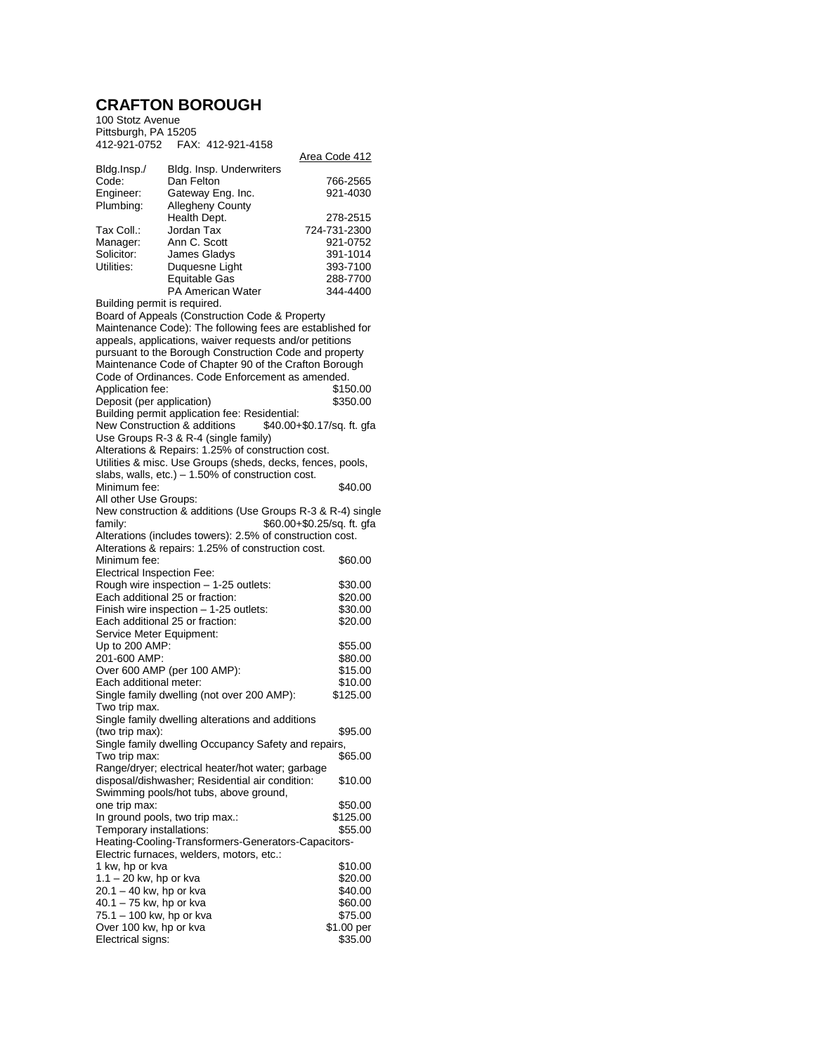## **CRAFTON BOROUGH**

| 100 Stotz Avenue                                                                                   |                                                            |                      |
|----------------------------------------------------------------------------------------------------|------------------------------------------------------------|----------------------|
| Pittsburgh, PA 15205                                                                               |                                                            |                      |
|                                                                                                    |                                                            |                      |
|                                                                                                    |                                                            | <u>Area Code 412</u> |
| Bldg.Insp./                                                                                        | Bldg. Insp. Underwriters                                   |                      |
| Code:                                                                                              | Dan Felton                                                 | 766-2565             |
| Engineer:                                                                                          | Gateway Eng. Inc.                                          | 921-4030             |
| Plumbing:                                                                                          | Allegheny County                                           |                      |
|                                                                                                    | Health Dept.                                               | 278-2515             |
| Tax Coll.:                                                                                         | Jordan Tax                                                 | 724-731-2300         |
| Manager:                                                                                           | Ann C. Scott                                               | 921-0752             |
| Solicitor:                                                                                         | James Gladys                                               | 391-1014             |
| Utilities:                                                                                         | Duquesne Light                                             | 393-7100             |
|                                                                                                    | Equitable Gas                                              | 288-7700             |
|                                                                                                    | <b>PA American Water</b>                                   | 344-4400             |
| Building permit is required.                                                                       |                                                            |                      |
|                                                                                                    | Board of Appeals (Construction Code & Property             |                      |
| Maintenance Code): The following fees are established for                                          |                                                            |                      |
| appeals, applications, waiver requests and/or petitions                                            |                                                            |                      |
| pursuant to the Borough Construction Code and property                                             |                                                            |                      |
| Maintenance Code of Chapter 90 of the Crafton Borough                                              |                                                            |                      |
|                                                                                                    | Code of Ordinances. Code Enforcement as amended.           |                      |
| Application fee:                                                                                   |                                                            | \$150.00             |
| Deposit (per application)                                                                          |                                                            | \$350.00             |
|                                                                                                    | Building permit application fee: Residential:              |                      |
|                                                                                                    |                                                            |                      |
| New Construction & additions<br>\$40.00+\$0.17/sq. ft. qfa                                         |                                                            |                      |
| Use Groups R-3 & R-4 (single family)<br>Alterations & Repairs: 1.25% of construction cost.         |                                                            |                      |
|                                                                                                    | Utilities & misc. Use Groups (sheds, decks, fences, pools, |                      |
|                                                                                                    | slabs, walls, etc.) $-1.50\%$ of construction cost.        |                      |
| Minimum fee:                                                                                       |                                                            |                      |
|                                                                                                    |                                                            | \$40.00              |
| All other Use Groups:<br>New construction & additions (Use Groups R-3 & R-4) single                |                                                            |                      |
|                                                                                                    |                                                            |                      |
| \$60.00+\$0.25/sq. ft. gfa<br>family:<br>Alterations (includes towers): 2.5% of construction cost. |                                                            |                      |
|                                                                                                    |                                                            |                      |
|                                                                                                    | Alterations & repairs: 1.25% of construction cost.         |                      |
| Minimum fee:                                                                                       |                                                            | \$60.00              |
| Electrical Inspection Fee:                                                                         |                                                            |                      |
|                                                                                                    | Rough wire inspection - 1-25 outlets:                      | \$30.00              |
|                                                                                                    | Each additional 25 or fraction:                            | \$20.00              |
|                                                                                                    | Finish wire inspection - 1-25 outlets:                     | \$30.00              |
| Each additional 25 or fraction:<br>\$20.00                                                         |                                                            |                      |
| Service Meter Equipment:                                                                           |                                                            |                      |
| Up to 200 AMP:                                                                                     |                                                            | \$55.00              |
| 201-600 AMP:                                                                                       |                                                            | \$80.00              |
|                                                                                                    | Over 600 AMP (per 100 AMP):                                | \$15.00              |
| Each additional meter:                                                                             |                                                            | \$10.00              |
|                                                                                                    | Single family dwelling (not over 200 AMP):                 | \$125.00             |
| Two trip max.                                                                                      |                                                            |                      |
|                                                                                                    | Single family dwelling alterations and additions           |                      |
| (two trip max):                                                                                    |                                                            | \$95.00              |
|                                                                                                    | Single family dwelling Occupancy Safety and repairs,       |                      |
| Two trip max:                                                                                      |                                                            | \$65.00              |
|                                                                                                    | Range/dryer; electrical heater/hot water; garbage          |                      |
|                                                                                                    | disposal/dishwasher; Residential air condition:            | \$10.00              |
|                                                                                                    | Swimming pools/hot tubs, above ground,                     |                      |
| one trip max:                                                                                      |                                                            | \$50.00              |
|                                                                                                    | In ground pools, two trip max.:                            | \$125.00             |
| Temporary installations:                                                                           |                                                            | \$55.00              |
| Heating-Cooling-Transformers-Generators-Capacitors-                                                |                                                            |                      |
|                                                                                                    | Electric furnaces, welders, motors, etc.:                  |                      |
| 1 kw, hp or kva                                                                                    |                                                            | \$10.00              |
| $1.1 - 20$ kw, hp or kva                                                                           |                                                            | \$20.00              |
| 20.1 - 40 kw, hp or kva                                                                            |                                                            | \$40.00              |
| $40.1 - 75$ kw, hp or kva                                                                          |                                                            | \$60.00              |
| 75.1 – 100 kw, hp or kva                                                                           |                                                            | \$75.00              |
| Over 100 kw, hp or kva                                                                             |                                                            | \$1.00 per           |
| Electrical signs:                                                                                  |                                                            | \$35.00              |
|                                                                                                    |                                                            |                      |